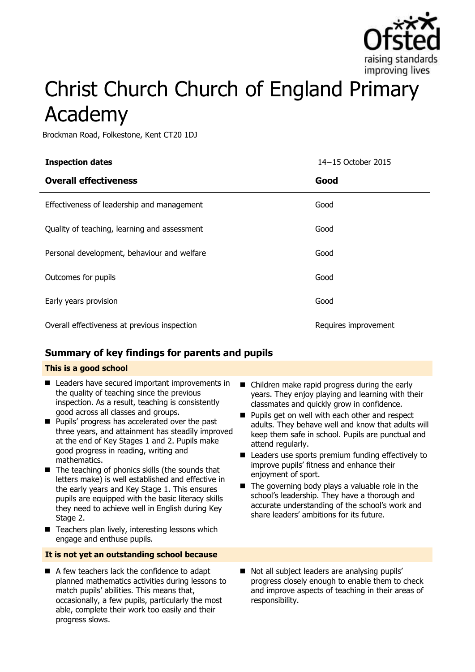

# Christ Church Church of England Primary Academy

Brockman Road, Folkestone, Kent CT20 1DJ

| <b>Inspection dates</b>                      | 14-15 October 2015   |
|----------------------------------------------|----------------------|
| <b>Overall effectiveness</b>                 | Good                 |
| Effectiveness of leadership and management   | Good                 |
| Quality of teaching, learning and assessment | Good                 |
| Personal development, behaviour and welfare  | Good                 |
| Outcomes for pupils                          | Good                 |
| Early years provision                        | Good                 |
| Overall effectiveness at previous inspection | Requires improvement |

## **Summary of key findings for parents and pupils**

#### **This is a good school**

- Leaders have secured important improvements in the quality of teaching since the previous inspection. As a result, teaching is consistently good across all classes and groups.
- **Pupils' progress has accelerated over the past** three years, and attainment has steadily improved at the end of Key Stages 1 and 2. Pupils make good progress in reading, writing and mathematics.
- $\blacksquare$  The teaching of phonics skills (the sounds that letters make) is well established and effective in the early years and Key Stage 1. This ensures pupils are equipped with the basic literacy skills they need to achieve well in English during Key Stage 2.
- $\blacksquare$  Teachers plan lively, interesting lessons which engage and enthuse pupils.

#### **It is not yet an outstanding school because**

A few teachers lack the confidence to adapt planned mathematics activities during lessons to match pupils' abilities. This means that, occasionally, a few pupils, particularly the most able, complete their work too easily and their progress slows.

- Children make rapid progress during the early years. They enjoy playing and learning with their classmates and quickly grow in confidence.
- **Pupils get on well with each other and respect** adults. They behave well and know that adults will keep them safe in school. Pupils are punctual and attend regularly.
- Leaders use sports premium funding effectively to improve pupils' fitness and enhance their enjoyment of sport.
- $\blacksquare$  The governing body plays a valuable role in the school's leadership. They have a thorough and accurate understanding of the school's work and share leaders' ambitions for its future.
- Not all subject leaders are analysing pupils' progress closely enough to enable them to check and improve aspects of teaching in their areas of responsibility.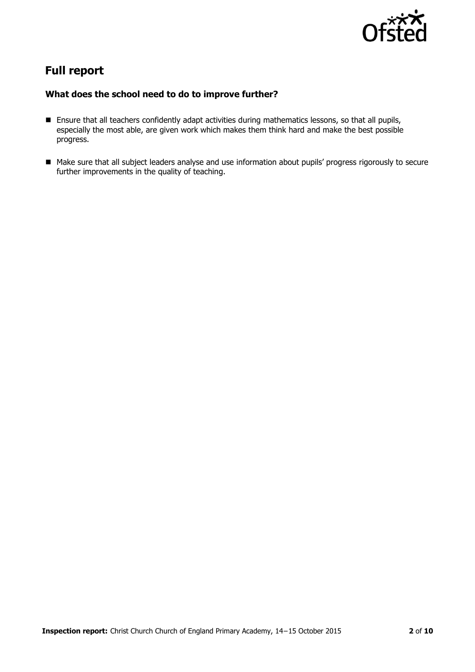

# **Full report**

### **What does the school need to do to improve further?**

- Ensure that all teachers confidently adapt activities during mathematics lessons, so that all pupils, especially the most able, are given work which makes them think hard and make the best possible progress.
- Make sure that all subject leaders analyse and use information about pupils' progress rigorously to secure further improvements in the quality of teaching.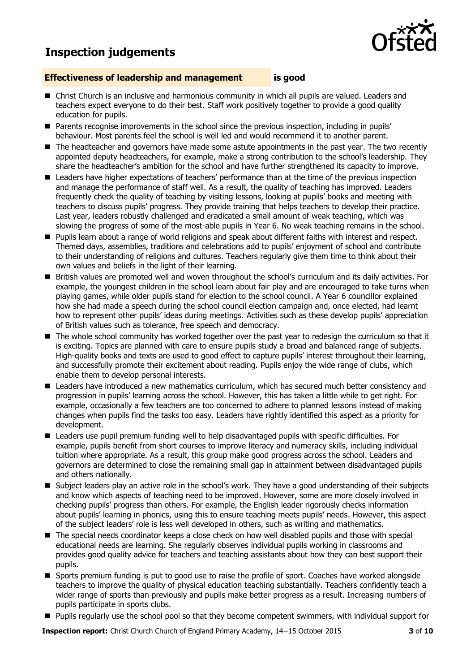# **Inspection judgements**



#### **Effectiveness of leadership and management is good**

- **E** Christ Church is an inclusive and harmonious community in which all pupils are valued. Leaders and teachers expect everyone to do their best. Staff work positively together to provide a good quality education for pupils.
- **Parents recognise improvements in the school since the previous inspection, including in pupils'** behaviour. Most parents feel the school is well led and would recommend it to another parent.
- The headteacher and governors have made some astute appointments in the past year. The two recently appointed deputy headteachers, for example, make a strong contribution to the school's leadership. They share the headteacher's ambition for the school and have further strengthened its capacity to improve.
- **E** Leaders have higher expectations of teachers' performance than at the time of the previous inspection and manage the performance of staff well. As a result, the quality of teaching has improved. Leaders frequently check the quality of teaching by visiting lessons, looking at pupils' books and meeting with teachers to discuss pupils' progress. They provide training that helps teachers to develop their practice. Last year, leaders robustly challenged and eradicated a small amount of weak teaching, which was slowing the progress of some of the most-able pupils in Year 6. No weak teaching remains in the school.
- **Pupils learn about a range of world religions and speak about different faiths with interest and respect.** Themed days, assemblies, traditions and celebrations add to pupils' enjoyment of school and contribute to their understanding of religions and cultures. Teachers regularly give them time to think about their own values and beliefs in the light of their learning.
- British values are promoted well and woven throughout the school's curriculum and its daily activities. For example, the youngest children in the school learn about fair play and are encouraged to take turns when playing games, while older pupils stand for election to the school council. A Year 6 councillor explained how she had made a speech during the school council election campaign and, once elected, had learnt how to represent other pupils' ideas during meetings. Activities such as these develop pupils' appreciation of British values such as tolerance, free speech and democracy.
- The whole school community has worked together over the past year to redesign the curriculum so that it is exciting. Topics are planned with care to ensure pupils study a broad and balanced range of subjects. High-quality books and texts are used to good effect to capture pupils' interest throughout their learning, and successfully promote their excitement about reading. Pupils enjoy the wide range of clubs, which enable them to develop personal interests.
- Leaders have introduced a new mathematics curriculum, which has secured much better consistency and progression in pupils' learning across the school. However, this has taken a little while to get right. For example, occasionally a few teachers are too concerned to adhere to planned lessons instead of making changes when pupils find the tasks too easy. Leaders have rightly identified this aspect as a priority for development.
- Leaders use pupil premium funding well to help disadvantaged pupils with specific difficulties. For example, pupils benefit from short courses to improve literacy and numeracy skills, including individual tuition where appropriate. As a result, this group make good progress across the school. Leaders and governors are determined to close the remaining small gap in attainment between disadvantaged pupils and others nationally.
- Subject leaders play an active role in the school's work. They have a good understanding of their subjects and know which aspects of teaching need to be improved. However, some are more closely involved in checking pupils' progress than others. For example, the English leader rigorously checks information about pupils' learning in phonics, using this to ensure teaching meets pupils' needs. However, this aspect of the subject leaders' role is less well developed in others, such as writing and mathematics.
- The special needs coordinator keeps a close check on how well disabled pupils and those with special educational needs are learning. She regularly observes individual pupils working in classrooms and provides good quality advice for teachers and teaching assistants about how they can best support their pupils.
- Sports premium funding is put to good use to raise the profile of sport. Coaches have worked alongside teachers to improve the quality of physical education teaching substantially. Teachers confidently teach a wider range of sports than previously and pupils make better progress as a result. Increasing numbers of pupils participate in sports clubs.
- **Pupils regularly use the school pool so that they become competent swimmers, with individual support for**

**Inspection report:** Christ Church Church of England Primary Academy, 14−15 October 2015 **3** of **10**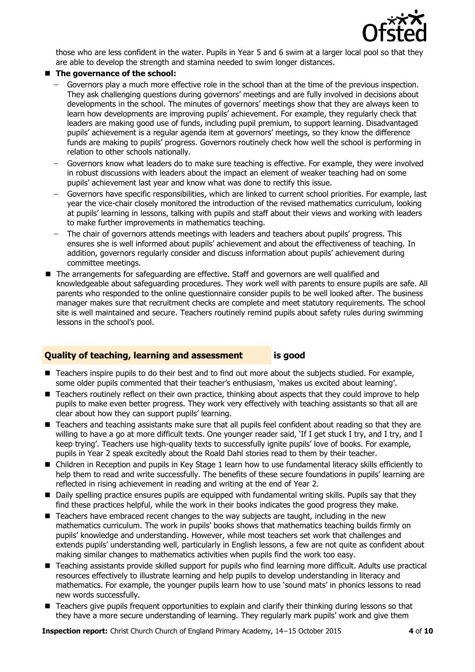

those who are less confident in the water. Pupils in Year 5 and 6 swim at a larger local pool so that they are able to develop the strength and stamina needed to swim longer distances.

#### ■ The governance of the school:

- Governors play a much more effective role in the school than at the time of the previous inspection. They ask challenging questions during governors' meetings and are fully involved in decisions about developments in the school. The minutes of governors' meetings show that they are always keen to learn how developments are improving pupils' achievement. For example, they regularly check that leaders are making good use of funds, including pupil premium, to support learning. Disadvantaged pupils' achievement is a regular agenda item at governors' meetings, so they know the difference funds are making to pupils' progress. Governors routinely check how well the school is performing in relation to other schools nationally.
- Governors know what leaders do to make sure teaching is effective. For example, they were involved  $\equiv$ in robust discussions with leaders about the impact an element of weaker teaching had on some pupils' achievement last year and know what was done to rectify this issue.
- Governors have specific responsibilities, which are linked to current school priorities. For example, last year the vice-chair closely monitored the introduction of the revised mathematics curriculum, looking at pupils' learning in lessons, talking with pupils and staff about their views and working with leaders to make further improvements in mathematics teaching.
- The chair of governors attends meetings with leaders and teachers about pupils' progress. This ensures she is well informed about pupils' achievement and about the effectiveness of teaching. In addition, governors regularly consider and discuss information about pupils' achievement during committee meetings.
- The arrangements for safeguarding are effective. Staff and governors are well qualified and knowledgeable about safeguarding procedures. They work well with parents to ensure pupils are safe. All parents who responded to the online questionnaire consider pupils to be well looked after. The business manager makes sure that recruitment checks are complete and meet statutory requirements. The school site is well maintained and secure. Teachers routinely remind pupils about safety rules during swimming lessons in the school's pool.

#### **Quality of teaching, learning and assessment is good**

- Teachers inspire pupils to do their best and to find out more about the subjects studied. For example, some older pupils commented that their teacher's enthusiasm, 'makes us excited about learning'.
- Teachers routinely reflect on their own practice, thinking about aspects that they could improve to help pupils to make even better progress. They work very effectively with teaching assistants so that all are clear about how they can support pupils' learning.
- Teachers and teaching assistants make sure that all pupils feel confident about reading so that they are willing to have a go at more difficult texts. One younger reader said, 'If I get stuck I try, and I try, and I keep trying'. Teachers use high-quality texts to successfully ignite pupils' love of books. For example, pupils in Year 2 speak excitedly about the Roald Dahl stories read to them by their teacher.
- Children in Reception and pupils in Key Stage 1 learn how to use fundamental literacy skills efficiently to help them to read and write successfully. The benefits of these secure foundations in pupils' learning are reflected in rising achievement in reading and writing at the end of Year 2.
- Daily spelling practice ensures pupils are equipped with fundamental writing skills. Pupils say that they find these practices helpful, while the work in their books indicates the good progress they make.
- Teachers have embraced recent changes to the way subjects are taught, including in the new mathematics curriculum. The work in pupils' books shows that mathematics teaching builds firmly on pupils' knowledge and understanding. However, while most teachers set work that challenges and extends pupils' understanding well, particularly in English lessons, a few are not quite as confident about making similar changes to mathematics activities when pupils find the work too easy.
- Teaching assistants provide skilled support for pupils who find learning more difficult. Adults use practical resources effectively to illustrate learning and help pupils to develop understanding in literacy and mathematics. For example, the younger pupils learn how to use 'sound mats' in phonics lessons to read new words successfully.
- Teachers give pupils frequent opportunities to explain and clarify their thinking during lessons so that they have a more secure understanding of learning. They regularly mark pupils' work and give them

**Inspection report:** Christ Church Church of England Primary Academy, 14−15 October 2015 **4** of **10**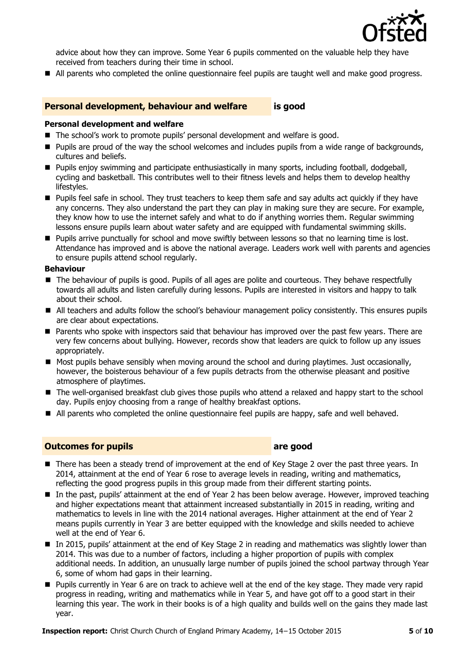

advice about how they can improve. Some Year 6 pupils commented on the valuable help they have received from teachers during their time in school.

All parents who completed the online questionnaire feel pupils are taught well and make good progress.

#### **Personal development, behaviour and welfare is good**

#### **Personal development and welfare**

- The school's work to promote pupils' personal development and welfare is good.
- **Pupils are proud of the way the school welcomes and includes pupils from a wide range of backgrounds,** cultures and beliefs.
- **Pupils enjoy swimming and participate enthusiastically in many sports, including football, dodgeball,** cycling and basketball. This contributes well to their fitness levels and helps them to develop healthy lifestyles.
- **Pupils feel safe in school. They trust teachers to keep them safe and say adults act quickly if they have** any concerns. They also understand the part they can play in making sure they are secure. For example, they know how to use the internet safely and what to do if anything worries them. Regular swimming lessons ensure pupils learn about water safety and are equipped with fundamental swimming skills.
- **Pupils arrive punctually for school and move swiftly between lessons so that no learning time is lost.** Attendance has improved and is above the national average. Leaders work well with parents and agencies to ensure pupils attend school regularly.

#### **Behaviour**

- The behaviour of pupils is good. Pupils of all ages are polite and courteous. They behave respectfully towards all adults and listen carefully during lessons. Pupils are interested in visitors and happy to talk about their school.
- All teachers and adults follow the school's behaviour management policy consistently. This ensures pupils are clear about expectations.
- Parents who spoke with inspectors said that behaviour has improved over the past few years. There are very few concerns about bullying. However, records show that leaders are quick to follow up any issues appropriately.
- Most pupils behave sensibly when moving around the school and during playtimes. Just occasionally, however, the boisterous behaviour of a few pupils detracts from the otherwise pleasant and positive atmosphere of playtimes.
- The well-organised breakfast club gives those pupils who attend a relaxed and happy start to the school day. Pupils enjoy choosing from a range of healthy breakfast options.
- All parents who completed the online questionnaire feel pupils are happy, safe and well behaved.

#### **Outcomes for pupils area area** *good*

- There has been a steady trend of improvement at the end of Key Stage 2 over the past three years. In 2014, attainment at the end of Year 6 rose to average levels in reading, writing and mathematics, reflecting the good progress pupils in this group made from their different starting points.
- In the past, pupils' attainment at the end of Year 2 has been below average. However, improved teaching and higher expectations meant that attainment increased substantially in 2015 in reading, writing and mathematics to levels in line with the 2014 national averages. Higher attainment at the end of Year 2 means pupils currently in Year 3 are better equipped with the knowledge and skills needed to achieve well at the end of Year 6.
- In 2015, pupils' attainment at the end of Key Stage 2 in reading and mathematics was slightly lower than 2014. This was due to a number of factors, including a higher proportion of pupils with complex additional needs. In addition, an unusually large number of pupils joined the school partway through Year 6, some of whom had gaps in their learning.
- Pupils currently in Year 6 are on track to achieve well at the end of the key stage. They made very rapid progress in reading, writing and mathematics while in Year 5, and have got off to a good start in their learning this year. The work in their books is of a high quality and builds well on the gains they made last year.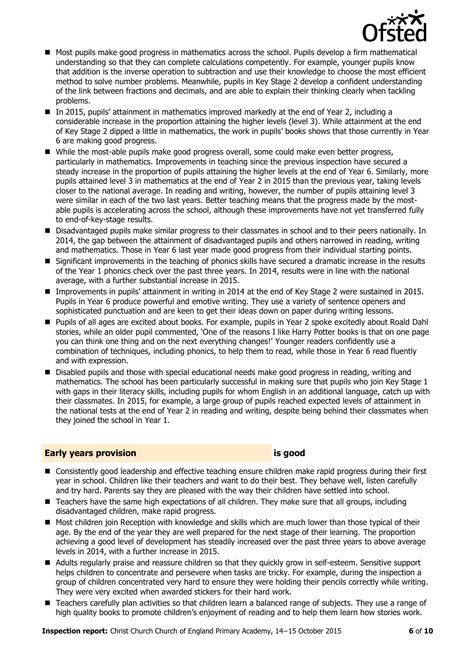

- **Most pupils make good progress in mathematics across the school. Pupils develop a firm mathematical** understanding so that they can complete calculations competently. For example, younger pupils know that addition is the inverse operation to subtraction and use their knowledge to choose the most efficient method to solve number problems. Meanwhile, pupils in Key Stage 2 develop a confident understanding of the link between fractions and decimals, and are able to explain their thinking clearly when tackling problems.
- In 2015, pupils' attainment in mathematics improved markedly at the end of Year 2, including a considerable increase in the proportion attaining the higher levels (level 3). While attainment at the end of Key Stage 2 dipped a little in mathematics, the work in pupils' books shows that those currently in Year 6 are making good progress.
- While the most-able pupils make good progress overall, some could make even better progress, particularly in mathematics. Improvements in teaching since the previous inspection have secured a steady increase in the proportion of pupils attaining the higher levels at the end of Year 6. Similarly, more pupils attained level 3 in mathematics at the end of Year 2 in 2015 than the previous year, taking levels closer to the national average. In reading and writing, however, the number of pupils attaining level 3 were similar in each of the two last years. Better teaching means that the progress made by the mostable pupils is accelerating across the school, although these improvements have not yet transferred fully to end-of-key-stage results.
- Disadvantaged pupils make similar progress to their classmates in school and to their peers nationally. In 2014, the gap between the attainment of disadvantaged pupils and others narrowed in reading, writing and mathematics. Those in Year 6 last year made good progress from their individual starting points.
- Significant improvements in the teaching of phonics skills have secured a dramatic increase in the results of the Year 1 phonics check over the past three years. In 2014, results were in line with the national average, with a further substantial increase in 2015.
- Improvements in pupils' attainment in writing in 2014 at the end of Key Stage 2 were sustained in 2015. Pupils in Year 6 produce powerful and emotive writing. They use a variety of sentence openers and sophisticated punctuation and are keen to get their ideas down on paper during writing lessons.
- Pupils of all ages are excited about books. For example, pupils in Year 2 spoke excitedly about Roald Dahl stories, while an older pupil commented, 'One of the reasons I like Harry Potter books is that on one page you can think one thing and on the next everything changes!' Younger readers confidently use a combination of techniques, including phonics, to help them to read, while those in Year 6 read fluently and with expression.
- **Disabled pupils and those with special educational needs make good progress in reading, writing and 1** mathematics. The school has been particularly successful in making sure that pupils who join Key Stage 1 with gaps in their literacy skills, including pupils for whom English in an additional language, catch up with their classmates. In 2015, for example, a large group of pupils reached expected levels of attainment in the national tests at the end of Year 2 in reading and writing, despite being behind their classmates when they joined the school in Year 1.

#### **Early years provision is good**

- Consistently good leadership and effective teaching ensure children make rapid progress during their first year in school. Children like their teachers and want to do their best. They behave well, listen carefully and try hard. Parents say they are pleased with the way their children have settled into school.
- Teachers have the same high expectations of all children. They make sure that all groups, including disadvantaged children, make rapid progress.
- **Most children join Reception with knowledge and skills which are much lower than those typical of their** age. By the end of the year they are well prepared for the next stage of their learning. The proportion achieving a good level of development has steadily increased over the past three years to above average levels in 2014, with a further increase in 2015.
- Adults regularly praise and reassure children so that they quickly grow in self-esteem. Sensitive support helps children to concentrate and persevere when tasks are tricky. For example, during the inspection a group of children concentrated very hard to ensure they were holding their pencils correctly while writing. They were very excited when awarded stickers for their hard work.
- Teachers carefully plan activities so that children learn a balanced range of subjects. They use a range of high quality books to promote children's enjoyment of reading and to help them learn how stories work.

**Inspection report:** Christ Church Church of England Primary Academy, 14−15 October 2015 **6** of **10**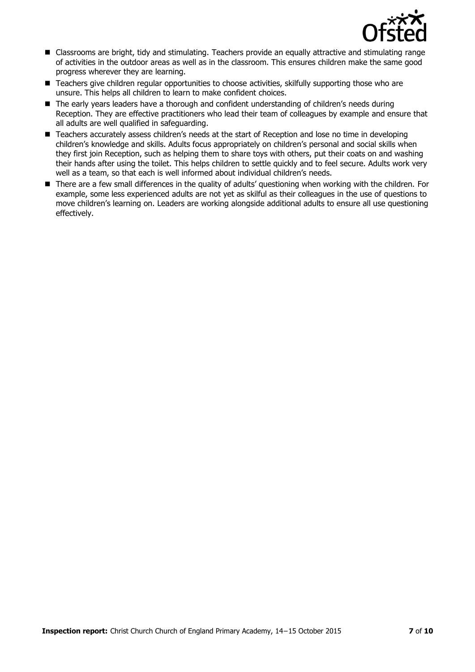

- Classrooms are bright, tidy and stimulating. Teachers provide an equally attractive and stimulating range of activities in the outdoor areas as well as in the classroom. This ensures children make the same good progress wherever they are learning.
- Teachers give children regular opportunities to choose activities, skilfully supporting those who are unsure. This helps all children to learn to make confident choices.
- The early years leaders have a thorough and confident understanding of children's needs during Reception. They are effective practitioners who lead their team of colleagues by example and ensure that all adults are well qualified in safeguarding.
- Teachers accurately assess children's needs at the start of Reception and lose no time in developing children's knowledge and skills. Adults focus appropriately on children's personal and social skills when they first join Reception, such as helping them to share toys with others, put their coats on and washing their hands after using the toilet. This helps children to settle quickly and to feel secure. Adults work very well as a team, so that each is well informed about individual children's needs.
- There are a few small differences in the quality of adults' questioning when working with the children. For example, some less experienced adults are not yet as skilful as their colleagues in the use of questions to move children's learning on. Leaders are working alongside additional adults to ensure all use questioning effectively.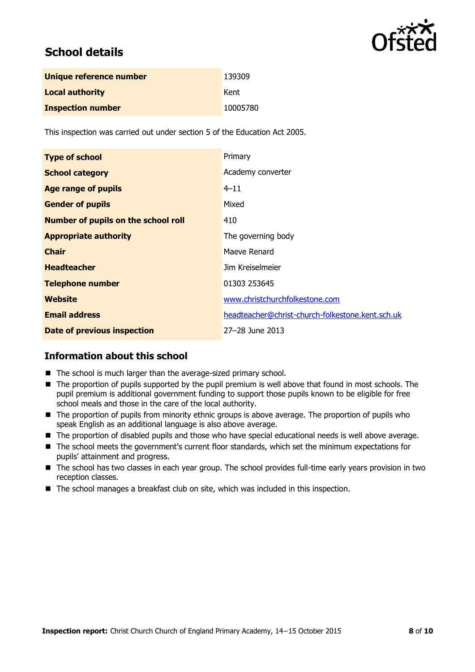

# **School details**

| Unique reference number  | 139309   |
|--------------------------|----------|
| <b>Local authority</b>   | Kent     |
| <b>Inspection number</b> | 10005780 |

This inspection was carried out under section 5 of the Education Act 2005.

| <b>Type of school</b>                      | Primary                                          |
|--------------------------------------------|--------------------------------------------------|
| <b>School category</b>                     | Academy converter                                |
| <b>Age range of pupils</b>                 | $4 - 11$                                         |
| <b>Gender of pupils</b>                    | Mixed                                            |
| <b>Number of pupils on the school roll</b> | 410                                              |
| <b>Appropriate authority</b>               | The governing body                               |
| <b>Chair</b>                               | Maeve Renard                                     |
| <b>Headteacher</b>                         | Jim Kreiselmeier                                 |
| <b>Telephone number</b>                    | 01303 253645                                     |
| Website                                    | www.christchurchfolkestone.com                   |
| <b>Email address</b>                       | headteacher@christ-church-folkestone.kent.sch.uk |
| Date of previous inspection                | 27-28 June 2013                                  |

#### **Information about this school**

- The school is much larger than the average-sized primary school.
- $\blacksquare$  The proportion of pupils supported by the pupil premium is well above that found in most schools. The pupil premium is additional government funding to support those pupils known to be eligible for free school meals and those in the care of the local authority.
- The proportion of pupils from minority ethnic groups is above average. The proportion of pupils who speak English as an additional language is also above average.
- The proportion of disabled pupils and those who have special educational needs is well above average.
- The school meets the government's current floor standards, which set the minimum expectations for pupils' attainment and progress.
- The school has two classes in each year group. The school provides full-time early years provision in two reception classes.
- The school manages a breakfast club on site, which was included in this inspection.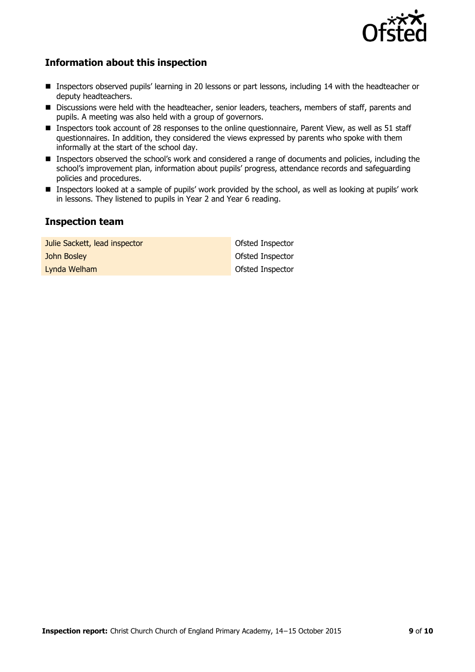

### **Information about this inspection**

- **Inspectors observed pupils' learning in 20 lessons or part lessons, including 14 with the headteacher or** deputy headteachers.
- **Discussions were held with the headteacher, senior leaders, teachers, members of staff, parents and** pupils. A meeting was also held with a group of governors.
- Inspectors took account of 28 responses to the online questionnaire, Parent View, as well as 51 staff questionnaires. In addition, they considered the views expressed by parents who spoke with them informally at the start of the school day.
- Inspectors observed the school's work and considered a range of documents and policies, including the school's improvement plan, information about pupils' progress, attendance records and safeguarding policies and procedures.
- Inspectors looked at a sample of pupils' work provided by the school, as well as looking at pupils' work in lessons. They listened to pupils in Year 2 and Year 6 reading.

#### **Inspection team**

| Julie Sackett, lead inspector | Ofsted Inspector |
|-------------------------------|------------------|
| John Bosley                   | Ofsted Inspector |
| Lynda Welham                  | Ofsted Inspector |